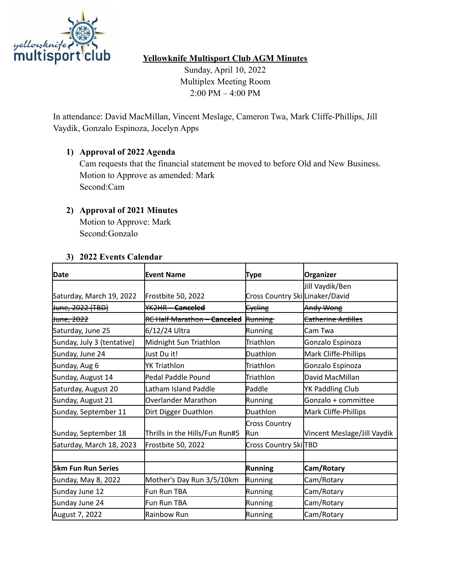

# **Yellowknife Multisport Club AGM Minutes**

Sunday, April 10, 2022 Multiplex Meeting Room 2:00 PM – 4:00 PM

In attendance: David MacMillan, Vincent Meslage, Cameron Twa, Mark Cliffe-Phillips, Jill Vaydik, Gonzalo Espinoza, Jocelyn Apps

# **1) Approval of 2022 Agenda**

Cam requests that the financial statement be moved to before Old and New Business. Motion to Approve as amended: Mark Second:Cam

## **2) Approval of 2021 Minutes**

Motion to Approve: Mark Second:Gonzalo

#### **3) 2022 Events Calendar**

| Date                        | <b>Event Name</b>              | <b>Type</b>                        | Organizer                     |
|-----------------------------|--------------------------------|------------------------------------|-------------------------------|
|                             |                                |                                    | Jill Vaydik/Ben               |
| Saturday, March 19, 2022    | Frostbite 50, 2022             | Cross Country Ski Linaker/David    |                               |
| <del>June, 2022 (TBD)</del> | YK2HR Canceled                 | <b>Cycling</b>                     | Andy Wong                     |
| <del>June, 2022</del>       | RC Half Marathon - Canceled    | <b>Running</b>                     | <del>Catherine Ardilles</del> |
| Saturday, June 25           | 6/12/24 Ultra                  | Running                            | Cam Twa                       |
| Sunday, July 3 (tentative)  | Midnight Sun Triathlon         | Triathlon                          | Gonzalo Espinoza              |
| Sunday, June 24             | Just Du it!                    | Duathlon                           | Mark Cliffe-Phillips          |
| Sunday, Aug 6               | YK Triathlon                   | Triathlon                          | Gonzalo Espinoza              |
| Sunday, August 14           | Pedal Paddle Pound             | Triathlon                          | David MacMillan               |
| Saturday, August 20         | Latham Island Paddle           | Paddle                             | YK Paddling Club              |
| Sunday, August 21           | Overlander Marathon            | Running                            | Gonzalo + committee           |
| Sunday, September 11        | Dirt Digger Duathlon           | Duathlon                           | Mark Cliffe-Phillips          |
| Sunday, September 18        | Thrills in the Hills/Fun Run#5 | <b>Cross Country</b><br><b>Run</b> | Vincent Meslage/Jill Vaydik   |
| Saturday, March 18, 2023    | Frostbite 50, 2022             | Cross Country Ski <sub>TBD</sub>   |                               |
|                             |                                |                                    |                               |
| <b>5km Fun Run Series</b>   |                                | <b>Running</b>                     | Cam/Rotary                    |
| Sunday, May 8, 2022         | Mother's Day Run 3/5/10km      | Running                            | Cam/Rotary                    |
| Sunday June 12              | Fun Run TBA                    | Running                            | Cam/Rotary                    |
| Sunday June 24              | Fun Run TBA                    | Running                            | Cam/Rotary                    |
| August 7, 2022              | Rainbow Run                    | Running                            | Cam/Rotary                    |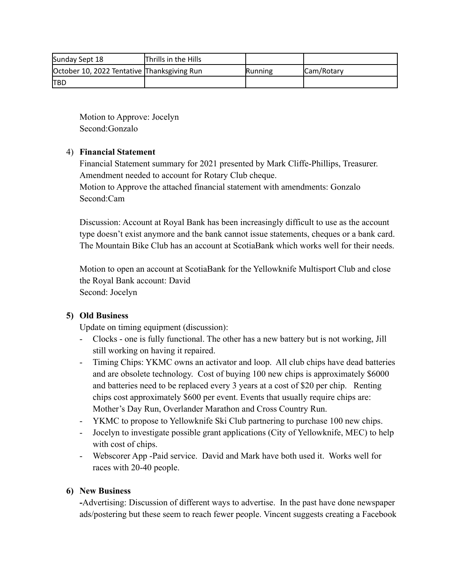| Sunday Sept 18                              | Thrills in the Hills |         |                    |
|---------------------------------------------|----------------------|---------|--------------------|
| October 10, 2022 Tentative Thanksgiving Run |                      | Running | <b>ICam/Rotary</b> |
| <b>ITBD</b>                                 |                      |         |                    |

Motion to Approve: Jocelyn Second:Gonzalo

## 4) **Financial Statement**

Financial Statement summary for 2021 presented by Mark Cliffe-Phillips, Treasurer. Amendment needed to account for Rotary Club cheque.

Motion to Approve the attached financial statement with amendments: Gonzalo Second:Cam

Discussion: Account at Royal Bank has been increasingly difficult to use as the account type doesn't exist anymore and the bank cannot issue statements, cheques or a bank card. The Mountain Bike Club has an account at ScotiaBank which works well for their needs.

Motion to open an account at ScotiaBank for the Yellowknife Multisport Club and close the Royal Bank account: David Second: Jocelyn

# **5) Old Business**

Update on timing equipment (discussion):

- Clocks one is fully functional. The other has a new battery but is not working, Jill still working on having it repaired.
- Timing Chips: YKMC owns an activator and loop. All club chips have dead batteries and are obsolete technology. Cost of buying 100 new chips is approximately \$6000 and batteries need to be replaced every 3 years at a cost of \$20 per chip. Renting chips cost approximately \$600 per event. Events that usually require chips are: Mother's Day Run, Overlander Marathon and Cross Country Run.
- YKMC to propose to Yellowknife Ski Club partnering to purchase 100 new chips.
- Jocelyn to investigate possible grant applications (City of Yellowknife, MEC) to help with cost of chips.
- Webscorer App -Paid service. David and Mark have both used it. Works well for races with 20-40 people.

# **6) New Business**

**-**Advertising: Discussion of different ways to advertise. In the past have done newspaper ads/postering but these seem to reach fewer people. Vincent suggests creating a Facebook